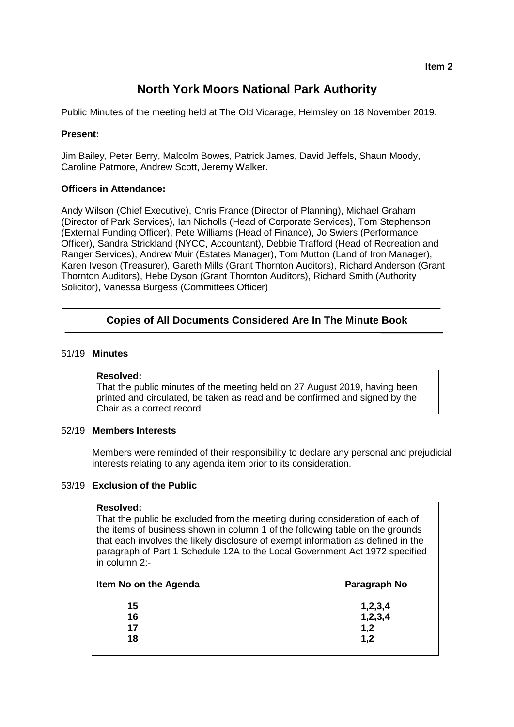# **North York Moors National Park Authority**

Public Minutes of the meeting held at The Old Vicarage, Helmsley on 18 November 2019.

## **Present:**

Jim Bailey, Peter Berry, Malcolm Bowes, Patrick James, David Jeffels, Shaun Moody, Caroline Patmore, Andrew Scott, Jeremy Walker.

## **Officers in Attendance:**

Andy Wilson (Chief Executive), Chris France (Director of Planning), Michael Graham (Director of Park Services), Ian Nicholls (Head of Corporate Services), Tom Stephenson (External Funding Officer), Pete Williams (Head of Finance), Jo Swiers (Performance Officer), Sandra Strickland (NYCC, Accountant), Debbie Trafford (Head of Recreation and Ranger Services), Andrew Muir (Estates Manager), Tom Mutton (Land of Iron Manager), Karen Iveson (Treasurer), Gareth Mills (Grant Thornton Auditors), Richard Anderson (Grant Thornton Auditors), Hebe Dyson (Grant Thornton Auditors), Richard Smith (Authority Solicitor), Vanessa Burgess (Committees Officer)

## **Copies of All Documents Considered Are In The Minute Book**

#### 51/19 **Minutes**

#### **Resolved:**

That the public minutes of the meeting held on 27 August 2019, having been printed and circulated, be taken as read and be confirmed and signed by the Chair as a correct record.

## 52/19 **Members Interests**

Members were reminded of their responsibility to declare any personal and prejudicial interests relating to any agenda item prior to its consideration.

## 53/19 **Exclusion of the Public**

#### **Resolved:**

That the public be excluded from the meeting during consideration of each of the items of business shown in column 1 of the following table on the grounds that each involves the likely disclosure of exempt information as defined in the paragraph of Part 1 Schedule 12A to the Local Government Act 1972 specified in column 2:-

| Item No on the Agenda | Paragraph No |
|-----------------------|--------------|
| 15                    | 1, 2, 3, 4   |
| 16                    | 1,2,3,4      |
| 17                    | 1,2          |
| 18                    | 1,2          |
|                       |              |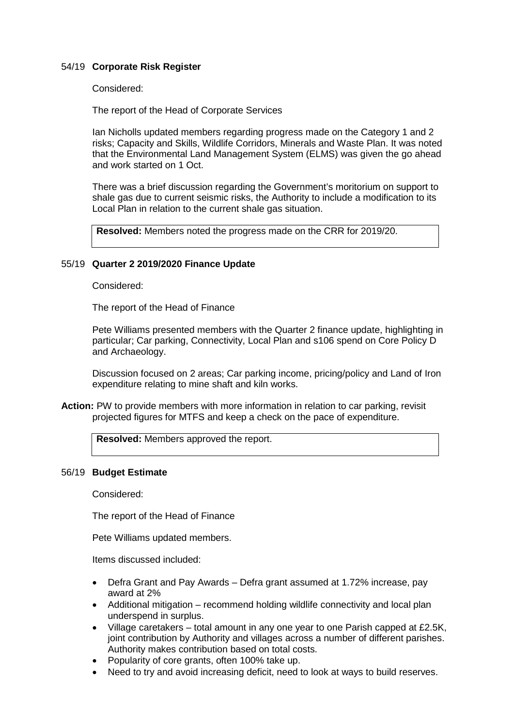#### 54/19 **Corporate Risk Register**

Considered:

The report of the Head of Corporate Services

Ian Nicholls updated members regarding progress made on the Category 1 and 2 risks; Capacity and Skills, Wildlife Corridors, Minerals and Waste Plan. It was noted that the Environmental Land Management System (ELMS) was given the go ahead and work started on 1 Oct.

There was a brief discussion regarding the Government's moritorium on support to shale gas due to current seismic risks, the Authority to include a modification to its Local Plan in relation to the current shale gas situation.

**Resolved:** Members noted the progress made on the CRR for 2019/20.

#### 55/19 **Quarter 2 2019/2020 Finance Update**

Considered:

The report of the Head of Finance

Pete Williams presented members with the Quarter 2 finance update, highlighting in particular; Car parking, Connectivity, Local Plan and s106 spend on Core Policy D and Archaeology.

Discussion focused on 2 areas; Car parking income, pricing/policy and Land of Iron expenditure relating to mine shaft and kiln works.

**Action:** PW to provide members with more information in relation to car parking, revisit projected figures for MTFS and keep a check on the pace of expenditure.

**Resolved:** Members approved the report.

#### 56/19 **Budget Estimate**

Considered:

The report of the Head of Finance

Pete Williams updated members.

Items discussed included:

- Defra Grant and Pay Awards Defra grant assumed at 1.72% increase, pay award at 2%
- Additional mitigation recommend holding wildlife connectivity and local plan underspend in surplus.
- Village caretakers total amount in any one year to one Parish capped at £2.5K, joint contribution by Authority and villages across a number of different parishes. Authority makes contribution based on total costs.
- Popularity of core grants, often 100% take up.
- Need to try and avoid increasing deficit, need to look at ways to build reserves.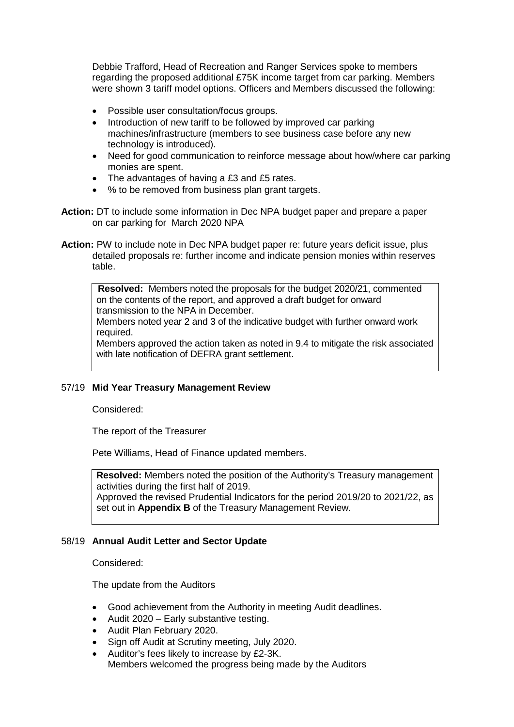Debbie Trafford, Head of Recreation and Ranger Services spoke to members regarding the proposed additional £75K income target from car parking. Members were shown 3 tariff model options. Officers and Members discussed the following:

- Possible user consultation/focus groups.
- Introduction of new tariff to be followed by improved car parking machines/infrastructure (members to see business case before any new technology is introduced).
- Need for good communication to reinforce message about how/where car parking monies are spent.
- The advantages of having a £3 and £5 rates.
- % to be removed from business plan grant targets.
- **Action:** DT to include some information in Dec NPA budget paper and prepare a paper on car parking for March 2020 NPA
- **Action:** PW to include note in Dec NPA budget paper re: future years deficit issue, plus detailed proposals re: further income and indicate pension monies within reserves table.

**Resolved:** Members noted the proposals for the budget 2020/21, commented on the contents of the report, and approved a draft budget for onward transmission to the NPA in December.

Members noted year 2 and 3 of the indicative budget with further onward work required.

Members approved the action taken as noted in 9.4 to mitigate the risk associated with late notification of DEFRA grant settlement.

## 57/19 **Mid Year Treasury Management Review**

Considered:

The report of the Treasurer

Pete Williams, Head of Finance updated members.

**Resolved:** Members noted the position of the Authority's Treasury management activities during the first half of 2019. Approved the revised Prudential Indicators for the period 2019/20 to 2021/22, as set out in **Appendix B** of the Treasury Management Review.

## 58/19 **Annual Audit Letter and Sector Update**

Considered:

The update from the Auditors

- Good achievement from the Authority in meeting Audit deadlines.
- Audit 2020 Early substantive testing.
- Audit Plan February 2020.
- Sign off Audit at Scrutiny meeting, July 2020.
- Auditor's fees likely to increase by £2-3K. Members welcomed the progress being made by the Auditors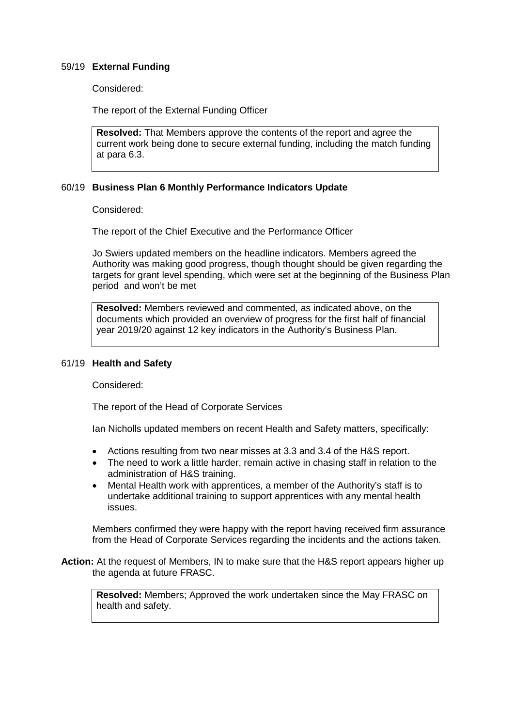## 59/19 **External Funding**

Considered:

The report of the External Funding Officer

**Resolved:** That Members approve the contents of the report and agree the current work being done to secure external funding, including the match funding at para 6.3.

#### 60/19 **Business Plan 6 Monthly Performance Indicators Update**

Considered:

The report of the Chief Executive and the Performance Officer

Jo Swiers updated members on the headline indicators. Members agreed the Authority was making good progress, though thought should be given regarding the targets for grant level spending, which were set at the beginning of the Business Plan period and won't be met

**Resolved:** Members reviewed and commented, as indicated above, on the documents which provided an overview of progress for the first half of financial year 2019/20 against 12 key indicators in the Authority's Business Plan.

#### 61/19 **Health and Safety**

Considered:

The report of the Head of Corporate Services

Ian Nicholls updated members on recent Health and Safety matters, specifically:

- Actions resulting from two near misses at 3.3 and 3.4 of the H&S report.
- The need to work a little harder, remain active in chasing staff in relation to the administration of H&S training.
- Mental Health work with apprentices, a member of the Authority's staff is to undertake additional training to support apprentices with any mental health issues.

Members confirmed they were happy with the report having received firm assurance from the Head of Corporate Services regarding the incidents and the actions taken.

**Action:** At the request of Members, IN to make sure that the H&S report appears higher up the agenda at future FRASC.

**Resolved:** Members; Approved the work undertaken since the May FRASC on health and safety.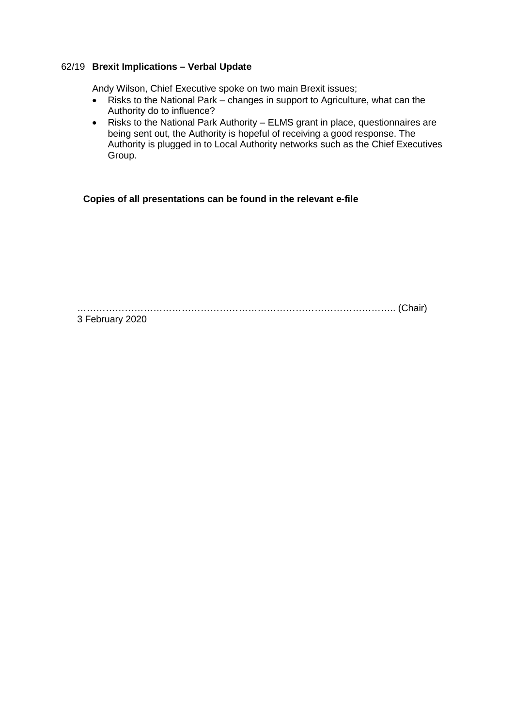## 62/19 **Brexit Implications – Verbal Update**

Andy Wilson, Chief Executive spoke on two main Brexit issues;

- Risks to the National Park changes in support to Agriculture, what can the Authority do to influence?
- Risks to the National Park Authority ELMS grant in place, questionnaires are being sent out, the Authority is hopeful of receiving a good response. The Authority is plugged in to Local Authority networks such as the Chief Executives Group.

**Copies of all presentations can be found in the relevant e-file**

……………………………………………………………………………………….. (Chair)

3 February 2020